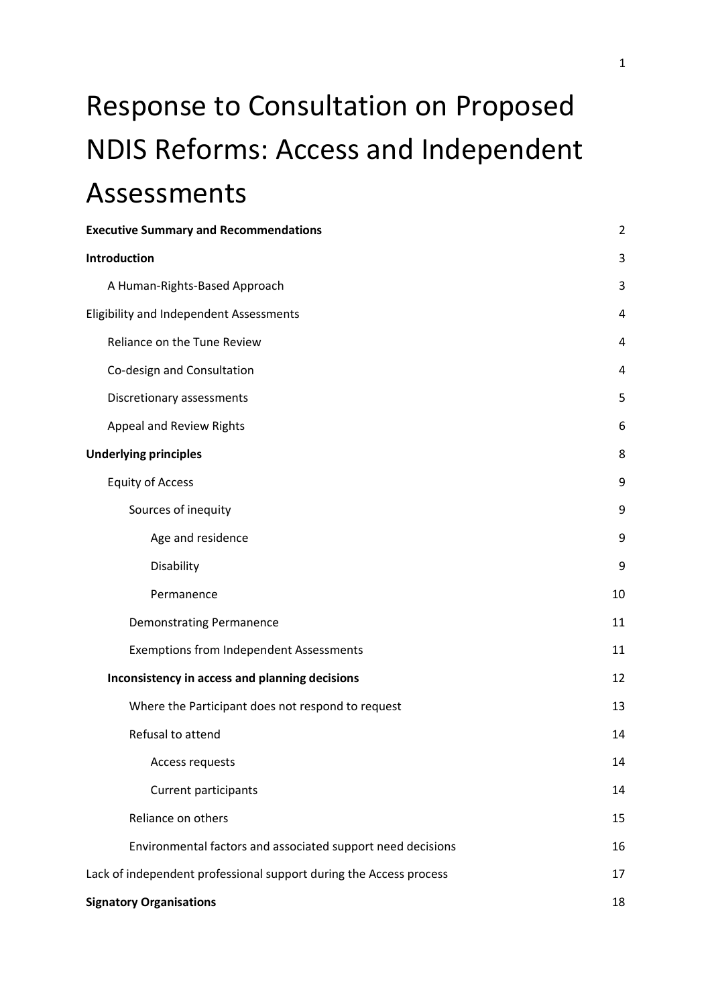# Response to Consultation on Proposed NDIS Reforms: Access and Independent Assessments

| <b>Executive Summary and Recommendations</b>                       | $\overline{2}$ |
|--------------------------------------------------------------------|----------------|
| Introduction                                                       | 3              |
| A Human-Rights-Based Approach                                      | 3              |
| Eligibility and Independent Assessments                            | 4              |
| Reliance on the Tune Review                                        | 4              |
| Co-design and Consultation                                         | 4              |
| Discretionary assessments                                          | 5              |
| Appeal and Review Rights                                           | 6              |
| <b>Underlying principles</b>                                       | 8              |
| <b>Equity of Access</b>                                            | 9              |
| Sources of inequity                                                | 9              |
| Age and residence                                                  | 9              |
| Disability                                                         | 9              |
| Permanence                                                         | 10             |
| <b>Demonstrating Permanence</b>                                    | 11             |
| <b>Exemptions from Independent Assessments</b>                     | 11             |
| Inconsistency in access and planning decisions                     | 12             |
| Where the Participant does not respond to request                  | 13             |
| Refusal to attend                                                  | 14             |
| Access requests                                                    | 14             |
| Current participants                                               | 14             |
| Reliance on others                                                 | 15             |
| Environmental factors and associated support need decisions        | 16             |
| Lack of independent professional support during the Access process | 17             |
| <b>Signatory Organisations</b>                                     | 18             |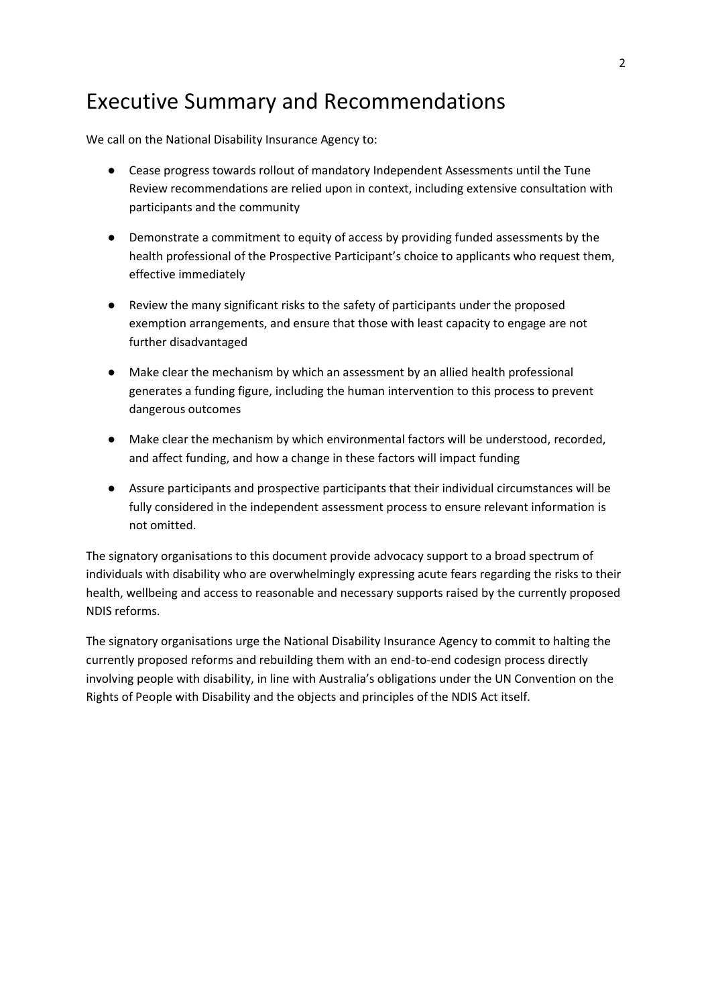# <span id="page-1-0"></span>Executive Summary and Recommendations

We call on the National Disability Insurance Agency to:

- Cease progress towards rollout of mandatory Independent Assessments until the Tune Review recommendations are relied upon in context, including extensive consultation with participants and the community
- Demonstrate a commitment to equity of access by providing funded assessments by the health professional of the Prospective Participant's choice to applicants who request them, effective immediately
- Review the many significant risks to the safety of participants under the proposed exemption arrangements, and ensure that those with least capacity to engage are not further disadvantaged
- Make clear the mechanism by which an assessment by an allied health professional generates a funding figure, including the human intervention to this process to prevent dangerous outcomes
- Make clear the mechanism by which environmental factors will be understood, recorded, and affect funding, and how a change in these factors will impact funding
- Assure participants and prospective participants that their individual circumstances will be fully considered in the independent assessment process to ensure relevant information is not omitted.

The signatory organisations to this document provide advocacy support to a broad spectrum of individuals with disability who are overwhelmingly expressing acute fears regarding the risks to their health, wellbeing and access to reasonable and necessary supports raised by the currently proposed NDIS reforms.

The signatory organisations urge the National Disability Insurance Agency to commit to halting the currently proposed reforms and rebuilding them with an end-to-end codesign process directly involving people with disability, in line with Australia's obligations under the UN Convention on the Rights of People with Disability and the objects and principles of the NDIS Act itself.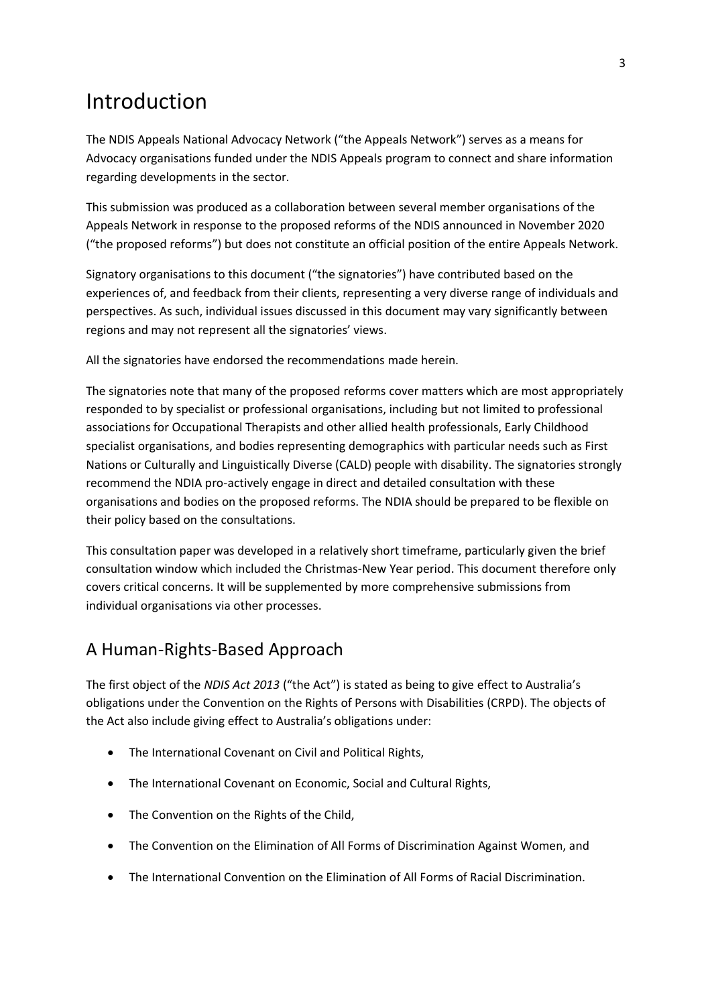# <span id="page-2-0"></span>Introduction

The NDIS Appeals National Advocacy Network ("the Appeals Network") serves as a means for Advocacy organisations funded under the NDIS Appeals program to connect and share information regarding developments in the sector.

This submission was produced as a collaboration between several member organisations of the Appeals Network in response to the proposed reforms of the NDIS announced in November 2020 ("the proposed reforms") but does not constitute an official position of the entire Appeals Network.

Signatory organisations to this document ("the signatories") have contributed based on the experiences of, and feedback from their clients, representing a very diverse range of individuals and perspectives. As such, individual issues discussed in this document may vary significantly between regions and may not represent all the signatories' views.

All the signatories have endorsed the recommendations made herein.

The signatories note that many of the proposed reforms cover matters which are most appropriately responded to by specialist or professional organisations, including but not limited to professional associations for Occupational Therapists and other allied health professionals, Early Childhood specialist organisations, and bodies representing demographics with particular needs such as First Nations or Culturally and Linguistically Diverse (CALD) people with disability. The signatories strongly recommend the NDIA pro-actively engage in direct and detailed consultation with these organisations and bodies on the proposed reforms. The NDIA should be prepared to be flexible on their policy based on the consultations.

This consultation paper was developed in a relatively short timeframe, particularly given the brief consultation window which included the Christmas-New Year period. This document therefore only covers critical concerns. It will be supplemented by more comprehensive submissions from individual organisations via other processes.

## <span id="page-2-1"></span>A Human-Rights-Based Approach

The first object of the *NDIS Act 2013* ("the Act") is stated as being to give effect to Australia's obligations under the Convention on the Rights of Persons with Disabilities (CRPD). The objects of the Act also include giving effect to Australia's obligations under:

- The International Covenant on Civil and Political Rights,
- The International Covenant on Economic, Social and Cultural Rights,
- The Convention on the Rights of the Child,
- The Convention on the Elimination of All Forms of Discrimination Against Women, and
- The International Convention on the Elimination of All Forms of Racial Discrimination.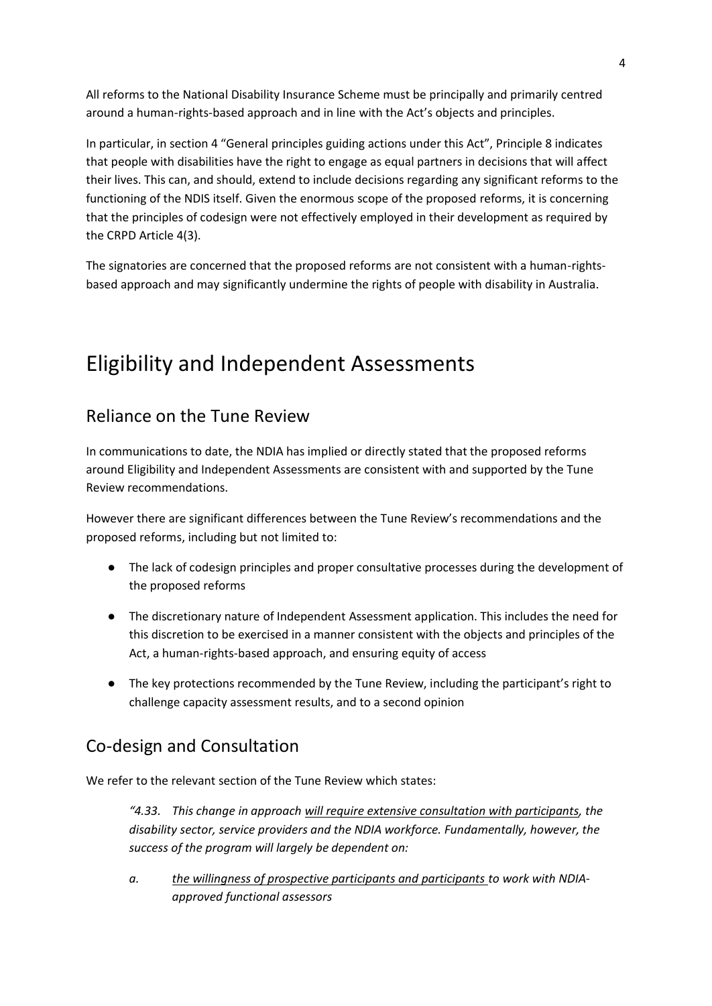All reforms to the National Disability Insurance Scheme must be principally and primarily centred around a human-rights-based approach and in line with the Act's objects and principles.

In particular, in section 4 "General principles guiding actions under this Act", Principle 8 indicates that people with disabilities have the right to engage as equal partners in decisions that will affect their lives. This can, and should, extend to include decisions regarding any significant reforms to the functioning of the NDIS itself. Given the enormous scope of the proposed reforms, it is concerning that the principles of codesign were not effectively employed in their development as required by the CRPD Article 4(3).

The signatories are concerned that the proposed reforms are not consistent with a human-rightsbased approach and may significantly undermine the rights of people with disability in Australia.

# <span id="page-3-0"></span>Eligibility and Independent Assessments

## <span id="page-3-1"></span>Reliance on the Tune Review

In communications to date, the NDIA has implied or directly stated that the proposed reforms around Eligibility and Independent Assessments are consistent with and supported by the Tune Review recommendations.

However there are significant differences between the Tune Review's recommendations and the proposed reforms, including but not limited to:

- The lack of codesign principles and proper consultative processes during the development of the proposed reforms
- The discretionary nature of Independent Assessment application. This includes the need for this discretion to be exercised in a manner consistent with the objects and principles of the Act, a human-rights-based approach, and ensuring equity of access
- The key protections recommended by the Tune Review, including the participant's right to challenge capacity assessment results, and to a second opinion

## <span id="page-3-2"></span>Co-design and Consultation

We refer to the relevant section of the Tune Review which states:

*"4.33. This change in approach will require extensive consultation with participants, the disability sector, service providers and the NDIA workforce. Fundamentally, however, the success of the program will largely be dependent on:* 

*a. the willingness of prospective participants and participants to work with NDIAapproved functional assessors*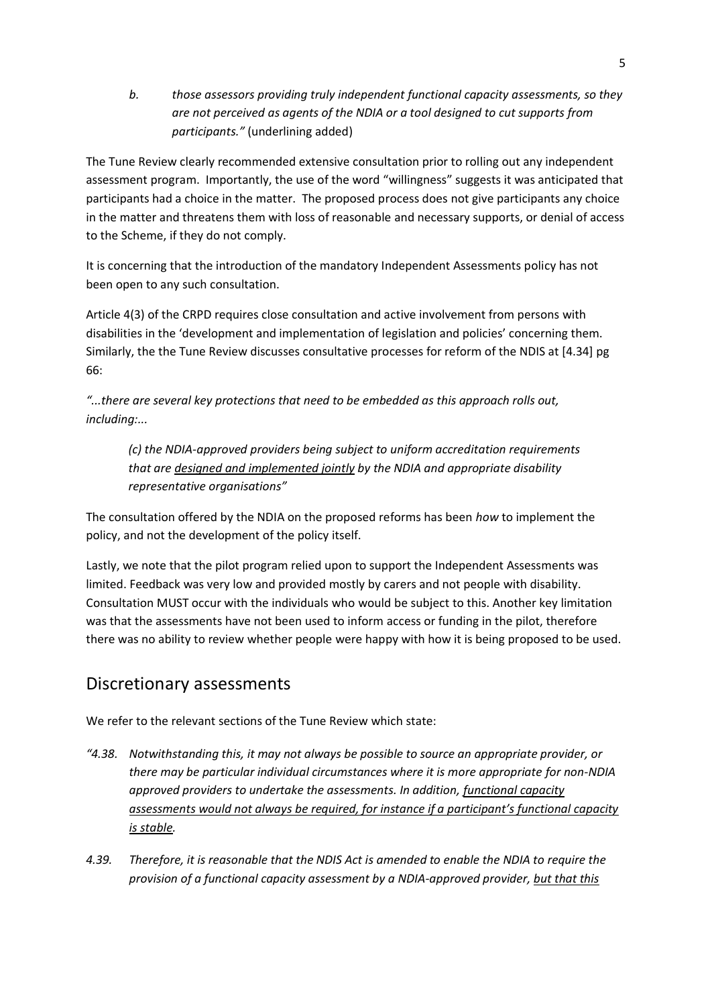*b. those assessors providing truly independent functional capacity assessments, so they are not perceived as agents of the NDIA or a tool designed to cut supports from participants."* (underlining added)

The Tune Review clearly recommended extensive consultation prior to rolling out any independent assessment program. Importantly, the use of the word "willingness" suggests it was anticipated that participants had a choice in the matter. The proposed process does not give participants any choice in the matter and threatens them with loss of reasonable and necessary supports, or denial of access to the Scheme, if they do not comply.

It is concerning that the introduction of the mandatory Independent Assessments policy has not been open to any such consultation.

Article 4(3) of the CRPD requires close consultation and active involvement from persons with disabilities in the 'development and implementation of legislation and policies' concerning them. Similarly, the the Tune Review discusses consultative processes for reform of the NDIS at [4.34] pg 66:

*"...there are several key protections that need to be embedded as this approach rolls out, including:...*

*(c) the NDIA-approved providers being subject to uniform accreditation requirements that are designed and implemented jointly by the NDIA and appropriate disability representative organisations"*

The consultation offered by the NDIA on the proposed reforms has been *how* to implement the policy, and not the development of the policy itself.

Lastly, we note that the pilot program relied upon to support the Independent Assessments was limited. Feedback was very low and provided mostly by carers and not people with disability. Consultation MUST occur with the individuals who would be subject to this. Another key limitation was that the assessments have not been used to inform access or funding in the pilot, therefore there was no ability to review whether people were happy with how it is being proposed to be used.

### <span id="page-4-0"></span>Discretionary assessments

We refer to the relevant sections of the Tune Review which state:

- *"4.38. Notwithstanding this, it may not always be possible to source an appropriate provider, or there may be particular individual circumstances where it is more appropriate for non-NDIA approved providers to undertake the assessments. In addition, functional capacity assessments would not always be required, for instance if a participant's functional capacity is stable.*
- *4.39. Therefore, it is reasonable that the NDIS Act is amended to enable the NDIA to require the provision of a functional capacity assessment by a NDIA-approved provider, but that this*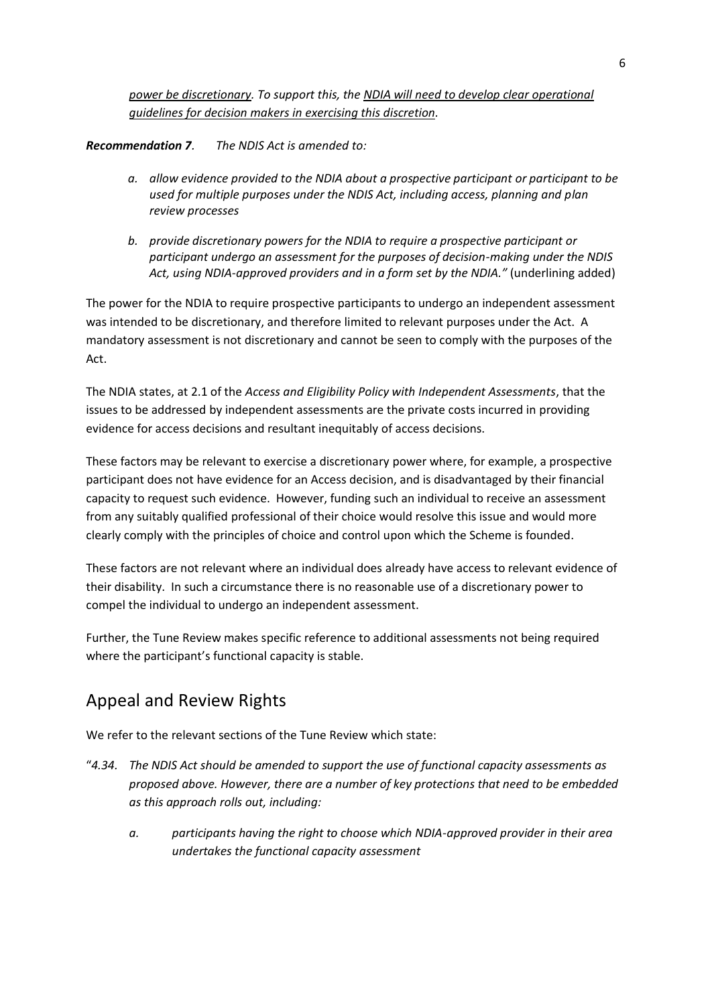*power be discretionary. To support this, the NDIA will need to develop clear operational guidelines for decision makers in exercising this discretion.*

#### *Recommendation 7. The NDIS Act is amended to:*

- *a. allow evidence provided to the NDIA about a prospective participant or participant to be used for multiple purposes under the NDIS Act, including access, planning and plan review processes*
- *b. provide discretionary powers for the NDIA to require a prospective participant or participant undergo an assessment for the purposes of decision-making under the NDIS Act, using NDIA-approved providers and in a form set by the NDIA."* (underlining added)

The power for the NDIA to require prospective participants to undergo an independent assessment was intended to be discretionary, and therefore limited to relevant purposes under the Act. A mandatory assessment is not discretionary and cannot be seen to comply with the purposes of the Act.

The NDIA states, at 2.1 of the *Access and Eligibility Policy with Independent Assessments*, that the issues to be addressed by independent assessments are the private costs incurred in providing evidence for access decisions and resultant inequitably of access decisions.

These factors may be relevant to exercise a discretionary power where, for example, a prospective participant does not have evidence for an Access decision, and is disadvantaged by their financial capacity to request such evidence. However, funding such an individual to receive an assessment from any suitably qualified professional of their choice would resolve this issue and would more clearly comply with the principles of choice and control upon which the Scheme is founded.

These factors are not relevant where an individual does already have access to relevant evidence of their disability. In such a circumstance there is no reasonable use of a discretionary power to compel the individual to undergo an independent assessment.

Further, the Tune Review makes specific reference to additional assessments not being required where the participant's functional capacity is stable.

## <span id="page-5-0"></span>Appeal and Review Rights

We refer to the relevant sections of the Tune Review which state:

- "*4.34. The NDIS Act should be amended to support the use of functional capacity assessments as proposed above. However, there are a number of key protections that need to be embedded as this approach rolls out, including:* 
	- *a. participants having the right to choose which NDIA-approved provider in their area undertakes the functional capacity assessment*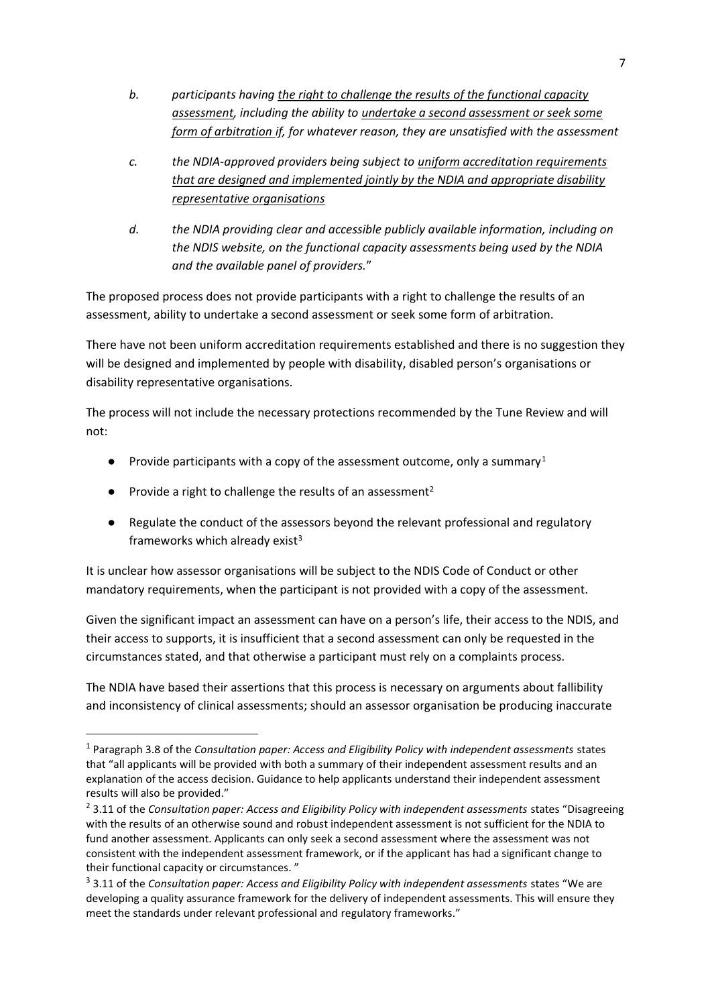- *b. participants having the right to challenge the results of the functional capacity assessment, including the ability to undertake a second assessment or seek some form of arbitration if, for whatever reason, they are unsatisfied with the assessment*
- *c. the NDIA-approved providers being subject to uniform accreditation requirements that are designed and implemented jointly by the NDIA and appropriate disability representative organisations*
- *d. the NDIA providing clear and accessible publicly available information, including on the NDIS website, on the functional capacity assessments being used by the NDIA and the available panel of providers.*"

The proposed process does not provide participants with a right to challenge the results of an assessment, ability to undertake a second assessment or seek some form of arbitration.

There have not been uniform accreditation requirements established and there is no suggestion they will be designed and implemented by people with disability, disabled person's organisations or disability representative organisations.

The process will not include the necessary protections recommended by the Tune Review and will not:

- Provide participants with a copy of the assessment outcome, only a summary<sup>1</sup>
- Provide a right to challenge the results of an assessment<sup>2</sup>
- Regulate the conduct of the assessors beyond the relevant professional and regulatory frameworks which already exist $3$

It is unclear how assessor organisations will be subject to the NDIS Code of Conduct or other mandatory requirements, when the participant is not provided with a copy of the assessment.

Given the significant impact an assessment can have on a person's life, their access to the NDIS, and their access to supports, it is insufficient that a second assessment can only be requested in the circumstances stated, and that otherwise a participant must rely on a complaints process.

The NDIA have based their assertions that this process is necessary on arguments about fallibility and inconsistency of clinical assessments; should an assessor organisation be producing inaccurate

<sup>1</sup> Paragraph 3.8 of the *Consultation paper: Access and Eligibility Policy with independent assessments* states that "all applicants will be provided with both a summary of their independent assessment results and an explanation of the access decision. Guidance to help applicants understand their independent assessment results will also be provided."

<sup>&</sup>lt;sup>2</sup> 3.11 of the *Consultation paper: Access and Eligibility Policy with independent assessments states "Disagreeing* with the results of an otherwise sound and robust independent assessment is not sufficient for the NDIA to fund another assessment. Applicants can only seek a second assessment where the assessment was not consistent with the independent assessment framework, or if the applicant has had a significant change to their functional capacity or circumstances. "

<sup>3</sup> 3.11 of the *Consultation paper: Access and Eligibility Policy with independent assessments* states "We are developing a quality assurance framework for the delivery of independent assessments. This will ensure they meet the standards under relevant professional and regulatory frameworks."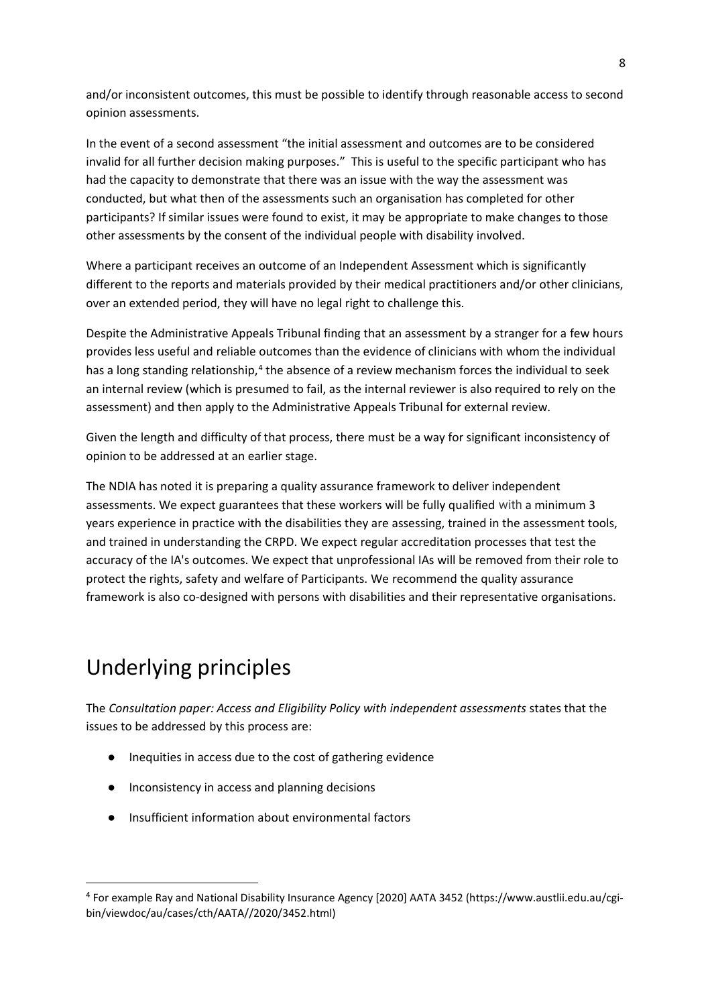and/or inconsistent outcomes, this must be possible to identify through reasonable access to second opinion assessments.

In the event of a second assessment "the initial assessment and outcomes are to be considered invalid for all further decision making purposes." This is useful to the specific participant who has had the capacity to demonstrate that there was an issue with the way the assessment was conducted, but what then of the assessments such an organisation has completed for other participants? If similar issues were found to exist, it may be appropriate to make changes to those other assessments by the consent of the individual people with disability involved.

Where a participant receives an outcome of an Independent Assessment which is significantly different to the reports and materials provided by their medical practitioners and/or other clinicians, over an extended period, they will have no legal right to challenge this.

Despite the Administrative Appeals Tribunal finding that an assessment by a stranger for a few hours provides less useful and reliable outcomes than the evidence of clinicians with whom the individual has a long standing relationship,<sup>4</sup> the absence of a review mechanism forces the individual to seek an internal review (which is presumed to fail, as the internal reviewer is also required to rely on the assessment) and then apply to the Administrative Appeals Tribunal for external review.

Given the length and difficulty of that process, there must be a way for significant inconsistency of opinion to be addressed at an earlier stage.

The NDIA has noted it is preparing a quality assurance framework to deliver independent assessments. We expect guarantees that these workers will be fully qualified with a minimum 3 years experience in practice with the disabilities they are assessing, trained in the assessment tools, and trained in understanding the CRPD. We expect regular accreditation processes that test the accuracy of the IA's outcomes. We expect that unprofessional IAs will be removed from their role to protect the rights, safety and welfare of Participants. We recommend the quality assurance framework is also co-designed with persons with disabilities and their representative organisations.

# <span id="page-7-0"></span>Underlying principles

The *Consultation paper: Access and Eligibility Policy with independent assessments* states that the issues to be addressed by this process are:

- Inequities in access due to the cost of gathering evidence
- Inconsistency in access and planning decisions
- Insufficient information about environmental factors

<sup>4</sup> For example Ray and National Disability Insurance Agency [2020] AATA 3452 (https://www.austlii.edu.au/cgibin/viewdoc/au/cases/cth/AATA//2020/3452.html)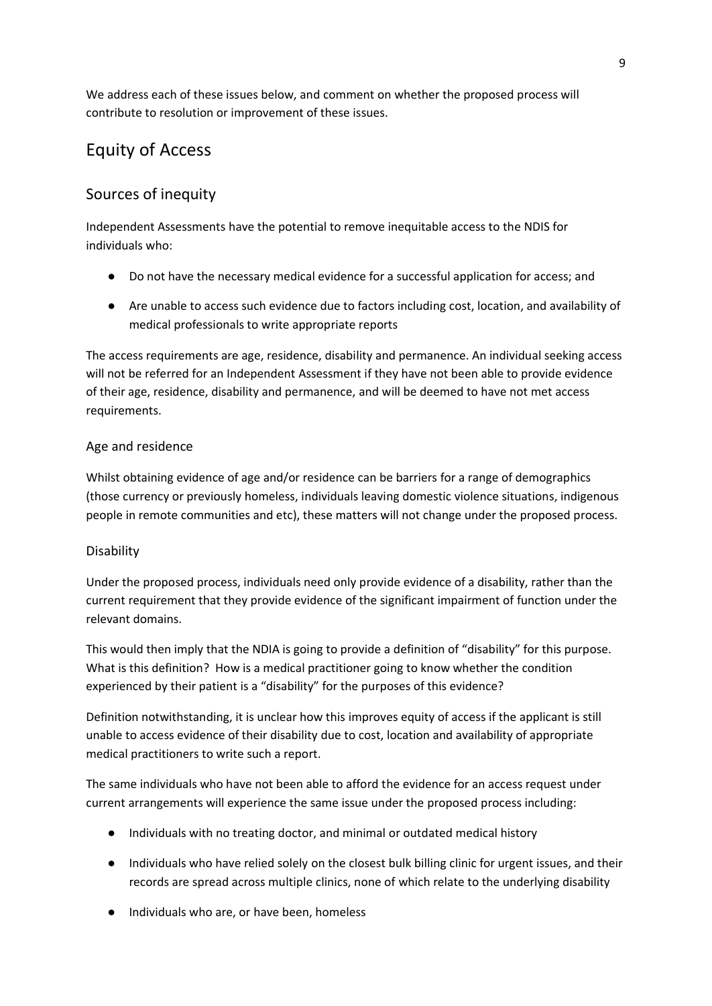We address each of these issues below, and comment on whether the proposed process will contribute to resolution or improvement of these issues.

# <span id="page-8-0"></span>Equity of Access

### <span id="page-8-1"></span>Sources of inequity

Independent Assessments have the potential to remove inequitable access to the NDIS for individuals who:

- Do not have the necessary medical evidence for a successful application for access; and
- Are unable to access such evidence due to factors including cost, location, and availability of medical professionals to write appropriate reports

The access requirements are age, residence, disability and permanence. An individual seeking access will not be referred for an Independent Assessment if they have not been able to provide evidence of their age, residence, disability and permanence, and will be deemed to have not met access requirements.

#### <span id="page-8-2"></span>Age and residence

Whilst obtaining evidence of age and/or residence can be barriers for a range of demographics (those currency or previously homeless, individuals leaving domestic violence situations, indigenous people in remote communities and etc), these matters will not change under the proposed process.

#### <span id="page-8-3"></span>Disability

Under the proposed process, individuals need only provide evidence of a disability, rather than the current requirement that they provide evidence of the significant impairment of function under the relevant domains.

This would then imply that the NDIA is going to provide a definition of "disability" for this purpose. What is this definition? How is a medical practitioner going to know whether the condition experienced by their patient is a "disability" for the purposes of this evidence?

Definition notwithstanding, it is unclear how this improves equity of access if the applicant is still unable to access evidence of their disability due to cost, location and availability of appropriate medical practitioners to write such a report.

The same individuals who have not been able to afford the evidence for an access request under current arrangements will experience the same issue under the proposed process including:

- Individuals with no treating doctor, and minimal or outdated medical history
- Individuals who have relied solely on the closest bulk billing clinic for urgent issues, and their records are spread across multiple clinics, none of which relate to the underlying disability
- Individuals who are, or have been, homeless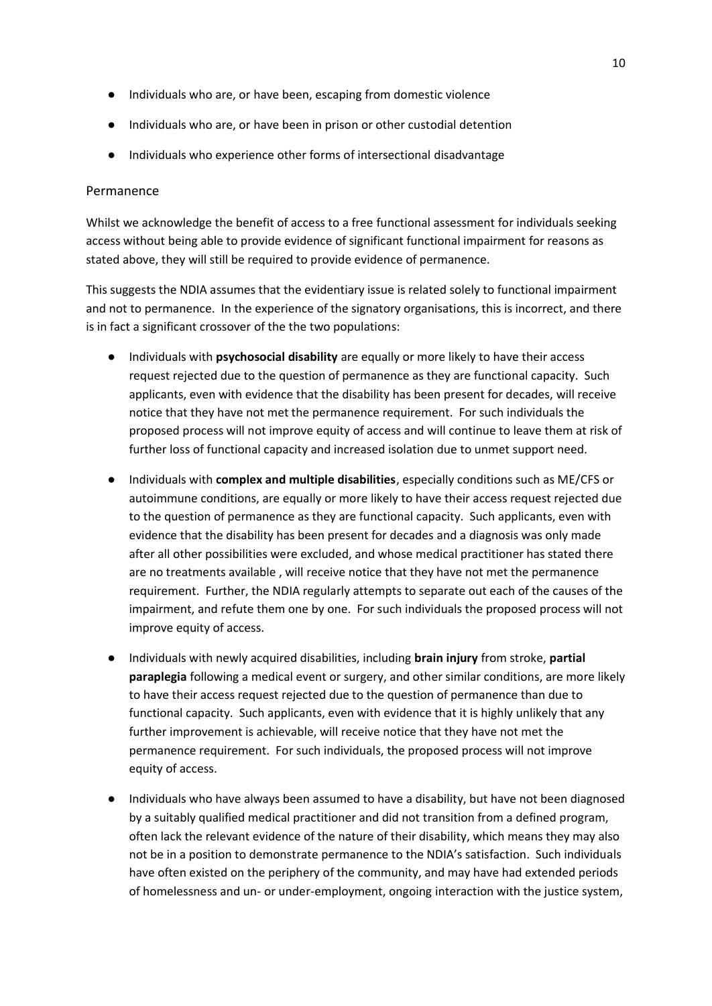- Individuals who are, or have been, escaping from domestic violence
- Individuals who are, or have been in prison or other custodial detention
- Individuals who experience other forms of intersectional disadvantage

#### <span id="page-9-0"></span>Permanence

Whilst we acknowledge the benefit of access to a free functional assessment for individuals seeking access without being able to provide evidence of significant functional impairment for reasons as stated above, they will still be required to provide evidence of permanence.

This suggests the NDIA assumes that the evidentiary issue is related solely to functional impairment and not to permanence. In the experience of the signatory organisations, this is incorrect, and there is in fact a significant crossover of the the two populations:

- Individuals with **psychosocial disability** are equally or more likely to have their access request rejected due to the question of permanence as they are functional capacity. Such applicants, even with evidence that the disability has been present for decades, will receive notice that they have not met the permanence requirement. For such individuals the proposed process will not improve equity of access and will continue to leave them at risk of further loss of functional capacity and increased isolation due to unmet support need.
- Individuals with **complex and multiple disabilities**, especially conditions such as ME/CFS or autoimmune conditions, are equally or more likely to have their access request rejected due to the question of permanence as they are functional capacity. Such applicants, even with evidence that the disability has been present for decades and a diagnosis was only made after all other possibilities were excluded, and whose medical practitioner has stated there are no treatments available , will receive notice that they have not met the permanence requirement. Further, the NDIA regularly attempts to separate out each of the causes of the impairment, and refute them one by one. For such individuals the proposed process will not improve equity of access.
- Individuals with newly acquired disabilities, including **brain injury** from stroke, **partial paraplegia** following a medical event or surgery, and other similar conditions, are more likely to have their access request rejected due to the question of permanence than due to functional capacity. Such applicants, even with evidence that it is highly unlikely that any further improvement is achievable, will receive notice that they have not met the permanence requirement. For such individuals, the proposed process will not improve equity of access.
- Individuals who have always been assumed to have a disability, but have not been diagnosed by a suitably qualified medical practitioner and did not transition from a defined program, often lack the relevant evidence of the nature of their disability, which means they may also not be in a position to demonstrate permanence to the NDIA's satisfaction. Such individuals have often existed on the periphery of the community, and may have had extended periods of homelessness and un- or under-employment, ongoing interaction with the justice system,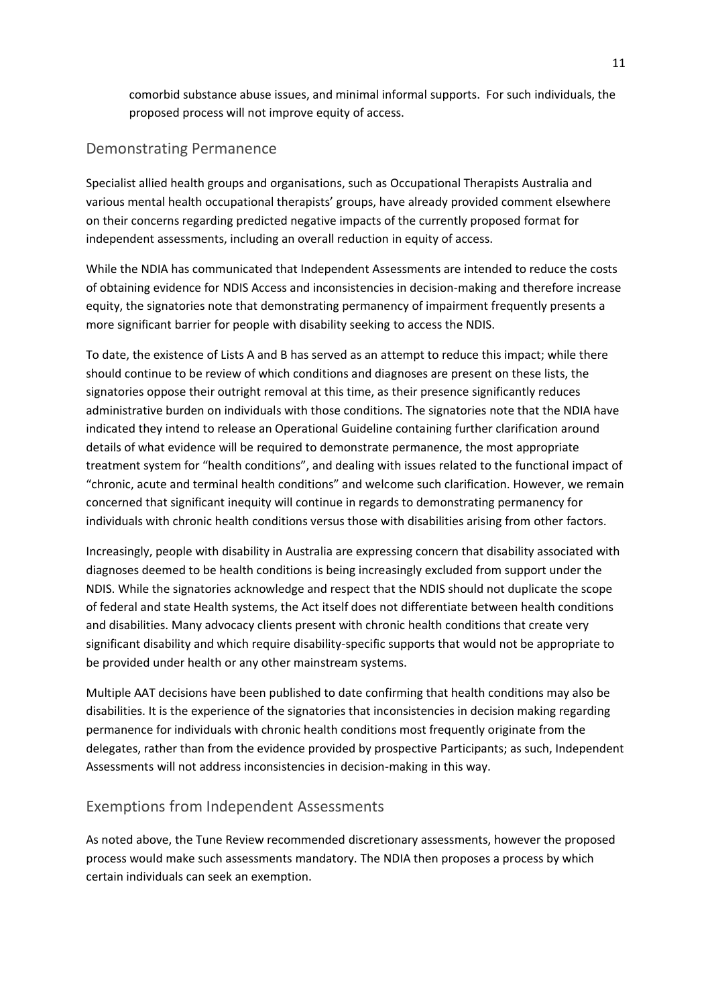comorbid substance abuse issues, and minimal informal supports. For such individuals, the proposed process will not improve equity of access.

#### <span id="page-10-0"></span>Demonstrating Permanence

Specialist allied health groups and organisations, such as Occupational Therapists Australia and various mental health occupational therapists' groups, have already provided comment elsewhere on their concerns regarding predicted negative impacts of the currently proposed format for independent assessments, including an overall reduction in equity of access.

While the NDIA has communicated that Independent Assessments are intended to reduce the costs of obtaining evidence for NDIS Access and inconsistencies in decision-making and therefore increase equity, the signatories note that demonstrating permanency of impairment frequently presents a more significant barrier for people with disability seeking to access the NDIS.

To date, the existence of Lists A and B has served as an attempt to reduce this impact; while there should continue to be review of which conditions and diagnoses are present on these lists, the signatories oppose their outright removal at this time, as their presence significantly reduces administrative burden on individuals with those conditions. The signatories note that the NDIA have indicated they intend to release an Operational Guideline containing further clarification around details of what evidence will be required to demonstrate permanence, the most appropriate treatment system for "health conditions", and dealing with issues related to the functional impact of "chronic, acute and terminal health conditions" and welcome such clarification. However, we remain concerned that significant inequity will continue in regards to demonstrating permanency for individuals with chronic health conditions versus those with disabilities arising from other factors.

Increasingly, people with disability in Australia are expressing concern that disability associated with diagnoses deemed to be health conditions is being increasingly excluded from support under the NDIS. While the signatories acknowledge and respect that the NDIS should not duplicate the scope of federal and state Health systems, the Act itself does not differentiate between health conditions and disabilities. Many advocacy clients present with chronic health conditions that create very significant disability and which require disability-specific supports that would not be appropriate to be provided under health or any other mainstream systems.

Multiple AAT decisions have been published to date confirming that health conditions may also be disabilities. It is the experience of the signatories that inconsistencies in decision making regarding permanence for individuals with chronic health conditions most frequently originate from the delegates, rather than from the evidence provided by prospective Participants; as such, Independent Assessments will not address inconsistencies in decision-making in this way.

#### <span id="page-10-1"></span>Exemptions from Independent Assessments

As noted above, the Tune Review recommended discretionary assessments, however the proposed process would make such assessments mandatory. The NDIA then proposes a process by which certain individuals can seek an exemption.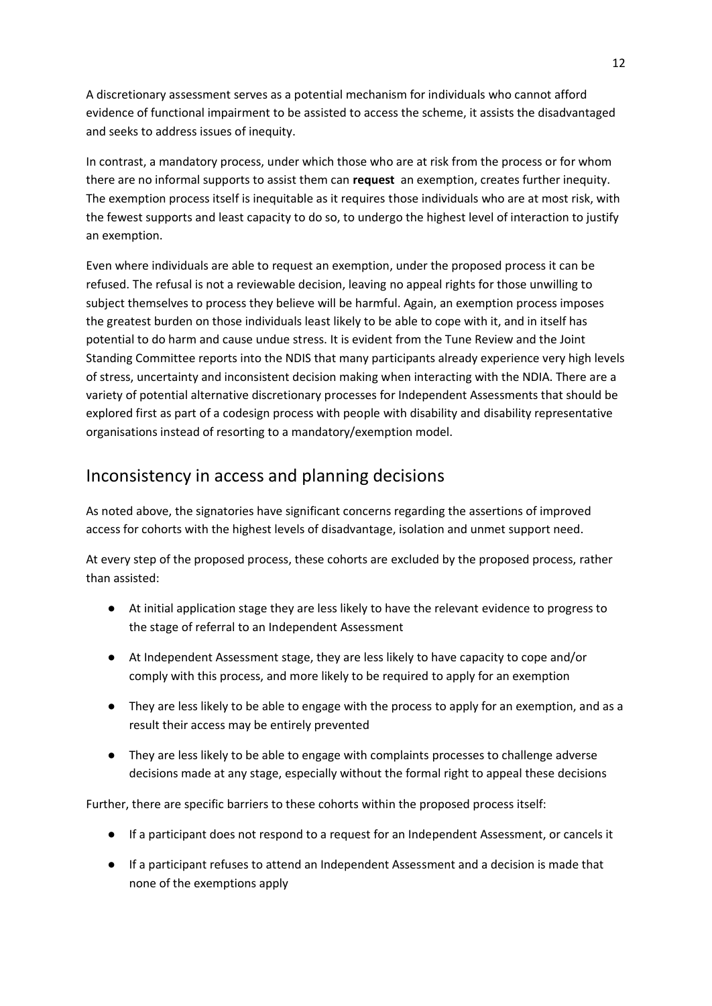A discretionary assessment serves as a potential mechanism for individuals who cannot afford evidence of functional impairment to be assisted to access the scheme, it assists the disadvantaged and seeks to address issues of inequity.

In contrast, a mandatory process, under which those who are at risk from the process or for whom there are no informal supports to assist them can **request** an exemption, creates further inequity. The exemption process itself is inequitable as it requires those individuals who are at most risk, with the fewest supports and least capacity to do so, to undergo the highest level of interaction to justify an exemption.

Even where individuals are able to request an exemption, under the proposed process it can be refused. The refusal is not a reviewable decision, leaving no appeal rights for those unwilling to subject themselves to process they believe will be harmful. Again, an exemption process imposes the greatest burden on those individuals least likely to be able to cope with it, and in itself has potential to do harm and cause undue stress. It is evident from the Tune Review and the Joint Standing Committee reports into the NDIS that many participants already experience very high levels of stress, uncertainty and inconsistent decision making when interacting with the NDIA. There are a variety of potential alternative discretionary processes for Independent Assessments that should be explored first as part of a codesign process with people with disability and disability representative organisations instead of resorting to a mandatory/exemption model.

## <span id="page-11-0"></span>Inconsistency in access and planning decisions

As noted above, the signatories have significant concerns regarding the assertions of improved access for cohorts with the highest levels of disadvantage, isolation and unmet support need.

At every step of the proposed process, these cohorts are excluded by the proposed process, rather than assisted:

- At initial application stage they are less likely to have the relevant evidence to progress to the stage of referral to an Independent Assessment
- At Independent Assessment stage, they are less likely to have capacity to cope and/or comply with this process, and more likely to be required to apply for an exemption
- They are less likely to be able to engage with the process to apply for an exemption, and as a result their access may be entirely prevented
- They are less likely to be able to engage with complaints processes to challenge adverse decisions made at any stage, especially without the formal right to appeal these decisions

Further, there are specific barriers to these cohorts within the proposed process itself:

- If a participant does not respond to a request for an Independent Assessment, or cancels it
- If a participant refuses to attend an Independent Assessment and a decision is made that none of the exemptions apply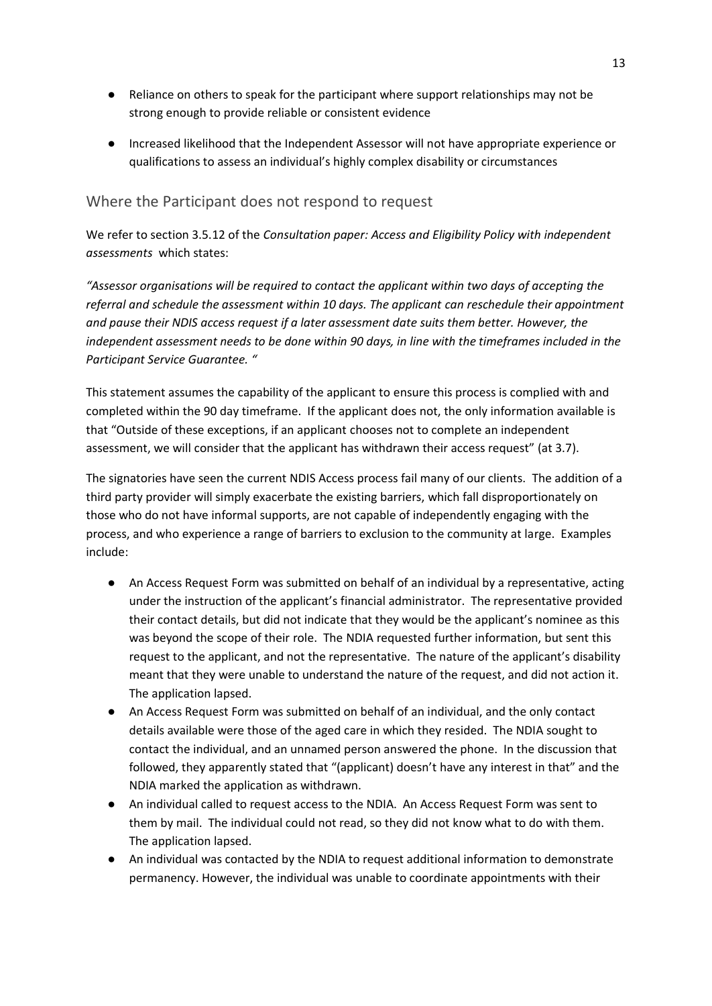- Reliance on others to speak for the participant where support relationships may not be strong enough to provide reliable or consistent evidence
- Increased likelihood that the Independent Assessor will not have appropriate experience or qualifications to assess an individual's highly complex disability or circumstances

#### <span id="page-12-0"></span>Where the Participant does not respond to request

We refer to section 3.5.12 of the *Consultation paper: Access and Eligibility Policy with independent assessments* which states:

*"Assessor organisations will be required to contact the applicant within two days of accepting the referral and schedule the assessment within 10 days. The applicant can reschedule their appointment and pause their NDIS access request if a later assessment date suits them better. However, the independent assessment needs to be done within 90 days, in line with the timeframes included in the Participant Service Guarantee. "*

This statement assumes the capability of the applicant to ensure this process is complied with and completed within the 90 day timeframe. If the applicant does not, the only information available is that "Outside of these exceptions, if an applicant chooses not to complete an independent assessment, we will consider that the applicant has withdrawn their access request" (at 3.7).

The signatories have seen the current NDIS Access process fail many of our clients. The addition of a third party provider will simply exacerbate the existing barriers, which fall disproportionately on those who do not have informal supports, are not capable of independently engaging with the process, and who experience a range of barriers to exclusion to the community at large. Examples include:

- An Access Request Form was submitted on behalf of an individual by a representative, acting under the instruction of the applicant's financial administrator. The representative provided their contact details, but did not indicate that they would be the applicant's nominee as this was beyond the scope of their role. The NDIA requested further information, but sent this request to the applicant, and not the representative. The nature of the applicant's disability meant that they were unable to understand the nature of the request, and did not action it. The application lapsed.
- An Access Request Form was submitted on behalf of an individual, and the only contact details available were those of the aged care in which they resided. The NDIA sought to contact the individual, and an unnamed person answered the phone. In the discussion that followed, they apparently stated that "(applicant) doesn't have any interest in that" and the NDIA marked the application as withdrawn.
- An individual called to request access to the NDIA. An Access Request Form was sent to them by mail. The individual could not read, so they did not know what to do with them. The application lapsed.
- An individual was contacted by the NDIA to request additional information to demonstrate permanency. However, the individual was unable to coordinate appointments with their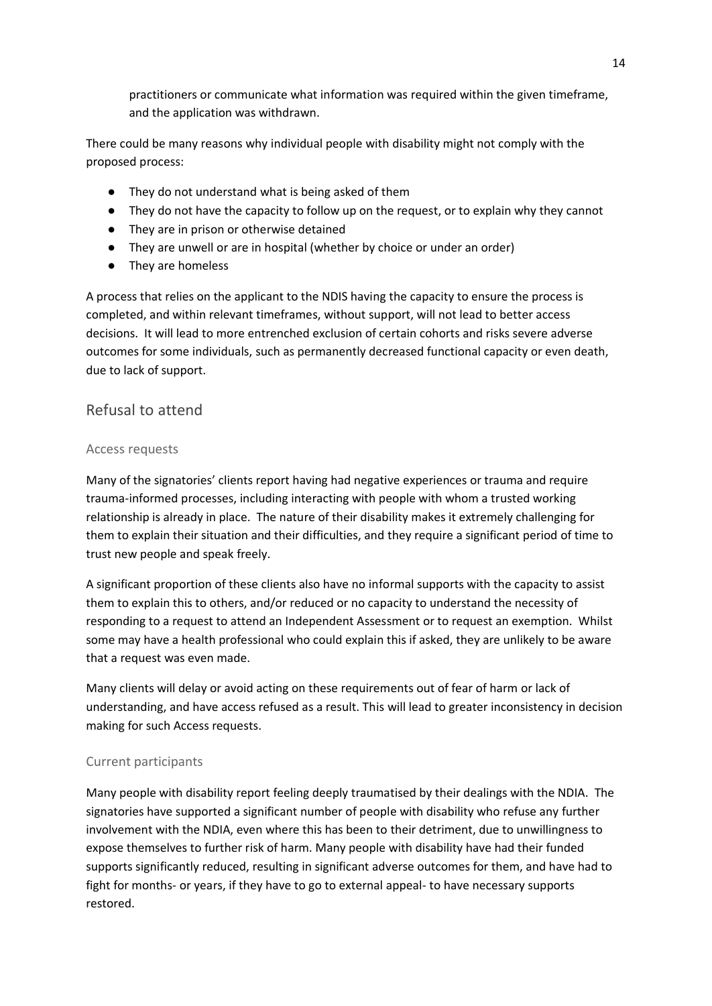practitioners or communicate what information was required within the given timeframe, and the application was withdrawn.

There could be many reasons why individual people with disability might not comply with the proposed process:

- They do not understand what is being asked of them
- They do not have the capacity to follow up on the request, or to explain why they cannot
- They are in prison or otherwise detained
- They are unwell or are in hospital (whether by choice or under an order)
- They are homeless

A process that relies on the applicant to the NDIS having the capacity to ensure the process is completed, and within relevant timeframes, without support, will not lead to better access decisions. It will lead to more entrenched exclusion of certain cohorts and risks severe adverse outcomes for some individuals, such as permanently decreased functional capacity or even death, due to lack of support.

#### <span id="page-13-0"></span>Refusal to attend

#### <span id="page-13-1"></span>Access requests

Many of the signatories' clients report having had negative experiences or trauma and require trauma-informed processes, including interacting with people with whom a trusted working relationship is already in place. The nature of their disability makes it extremely challenging for them to explain their situation and their difficulties, and they require a significant period of time to trust new people and speak freely.

A significant proportion of these clients also have no informal supports with the capacity to assist them to explain this to others, and/or reduced or no capacity to understand the necessity of responding to a request to attend an Independent Assessment or to request an exemption. Whilst some may have a health professional who could explain this if asked, they are unlikely to be aware that a request was even made.

Many clients will delay or avoid acting on these requirements out of fear of harm or lack of understanding, and have access refused as a result. This will lead to greater inconsistency in decision making for such Access requests.

#### <span id="page-13-2"></span>Current participants

Many people with disability report feeling deeply traumatised by their dealings with the NDIA. The signatories have supported a significant number of people with disability who refuse any further involvement with the NDIA, even where this has been to their detriment, due to unwillingness to expose themselves to further risk of harm. Many people with disability have had their funded supports significantly reduced, resulting in significant adverse outcomes for them, and have had to fight for months- or years, if they have to go to external appeal- to have necessary supports restored.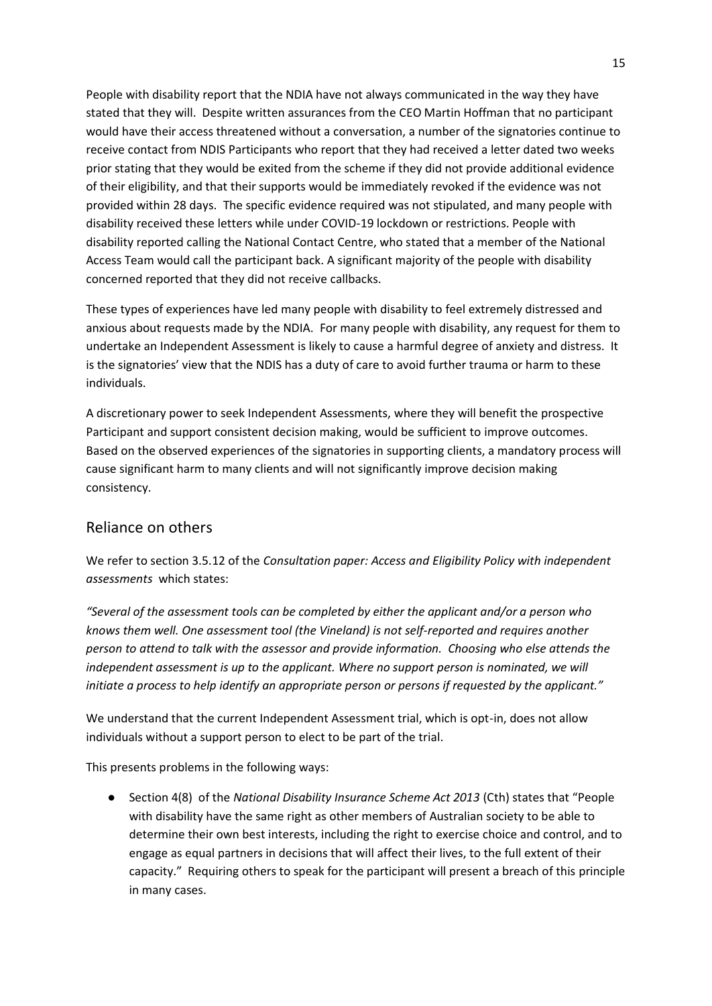People with disability report that the NDIA have not always communicated in the way they have stated that they will. Despite written assurances from the CEO Martin Hoffman that no participant would have their access threatened without a conversation, a number of the signatories continue to receive contact from NDIS Participants who report that they had received a letter dated two weeks prior stating that they would be exited from the scheme if they did not provide additional evidence of their eligibility, and that their supports would be immediately revoked if the evidence was not provided within 28 days. The specific evidence required was not stipulated, and many people with disability received these letters while under COVID-19 lockdown or restrictions. People with disability reported calling the National Contact Centre, who stated that a member of the National Access Team would call the participant back. A significant majority of the people with disability concerned reported that they did not receive callbacks.

These types of experiences have led many people with disability to feel extremely distressed and anxious about requests made by the NDIA. For many people with disability, any request for them to undertake an Independent Assessment is likely to cause a harmful degree of anxiety and distress. It is the signatories' view that the NDIS has a duty of care to avoid further trauma or harm to these individuals.

A discretionary power to seek Independent Assessments, where they will benefit the prospective Participant and support consistent decision making, would be sufficient to improve outcomes. Based on the observed experiences of the signatories in supporting clients, a mandatory process will cause significant harm to many clients and will not significantly improve decision making consistency.

#### <span id="page-14-0"></span>Reliance on others

We refer to section 3.5.12 of the *Consultation paper: Access and Eligibility Policy with independent assessments* which states:

*"Several of the assessment tools can be completed by either the applicant and/or a person who knows them well. One assessment tool (the Vineland) is not self-reported and requires another person to attend to talk with the assessor and provide information. Choosing who else attends the*  independent assessment is up to the applicant. Where no support person is nominated, we will *initiate a process to help identify an appropriate person or persons if requested by the applicant."*

We understand that the current Independent Assessment trial, which is opt-in, does not allow individuals without a support person to elect to be part of the trial.

This presents problems in the following ways:

● Section 4(8) of the *National Disability Insurance Scheme Act 2013* (Cth) states that "People with disability have the same right as other members of Australian society to be able to determine their own best interests, including the right to exercise choice and control, and to engage as equal partners in decisions that will affect their lives, to the full extent of their capacity." Requiring others to speak for the participant will present a breach of this principle in many cases.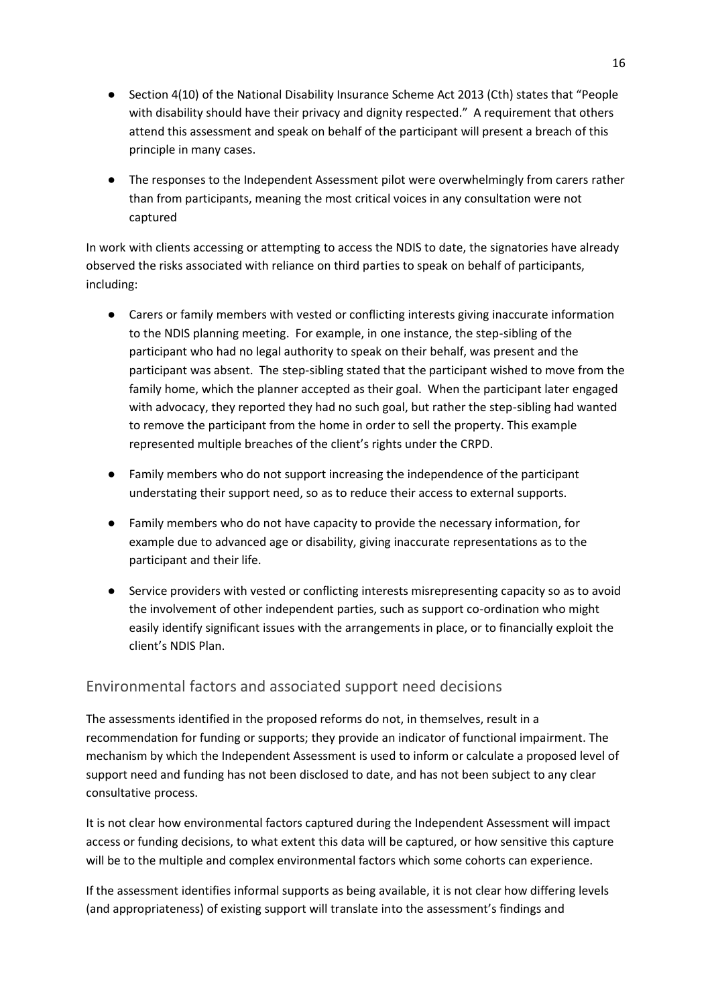- Section 4(10) of the National Disability Insurance Scheme Act 2013 (Cth) states that "People with disability should have their privacy and dignity respected." A requirement that others attend this assessment and speak on behalf of the participant will present a breach of this principle in many cases.
- The responses to the Independent Assessment pilot were overwhelmingly from carers rather than from participants, meaning the most critical voices in any consultation were not captured

In work with clients accessing or attempting to access the NDIS to date, the signatories have already observed the risks associated with reliance on third parties to speak on behalf of participants, including:

- Carers or family members with vested or conflicting interests giving inaccurate information to the NDIS planning meeting. For example, in one instance, the step-sibling of the participant who had no legal authority to speak on their behalf, was present and the participant was absent. The step-sibling stated that the participant wished to move from the family home, which the planner accepted as their goal. When the participant later engaged with advocacy, they reported they had no such goal, but rather the step-sibling had wanted to remove the participant from the home in order to sell the property. This example represented multiple breaches of the client's rights under the CRPD.
- Family members who do not support increasing the independence of the participant understating their support need, so as to reduce their access to external supports.
- Family members who do not have capacity to provide the necessary information, for example due to advanced age or disability, giving inaccurate representations as to the participant and their life.
- Service providers with vested or conflicting interests misrepresenting capacity so as to avoid the involvement of other independent parties, such as support co-ordination who might easily identify significant issues with the arrangements in place, or to financially exploit the client's NDIS Plan.

#### <span id="page-15-0"></span>Environmental factors and associated support need decisions

The assessments identified in the proposed reforms do not, in themselves, result in a recommendation for funding or supports; they provide an indicator of functional impairment. The mechanism by which the Independent Assessment is used to inform or calculate a proposed level of support need and funding has not been disclosed to date, and has not been subject to any clear consultative process.

It is not clear how environmental factors captured during the Independent Assessment will impact access or funding decisions, to what extent this data will be captured, or how sensitive this capture will be to the multiple and complex environmental factors which some cohorts can experience.

If the assessment identifies informal supports as being available, it is not clear how differing levels (and appropriateness) of existing support will translate into the assessment's findings and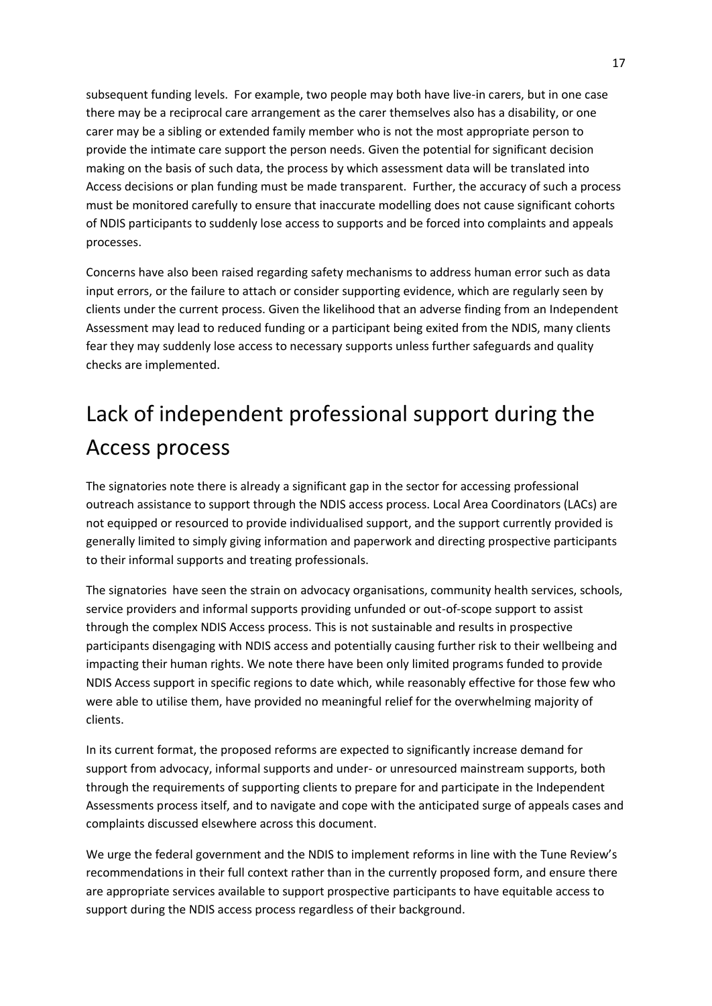subsequent funding levels. For example, two people may both have live-in carers, but in one case there may be a reciprocal care arrangement as the carer themselves also has a disability, or one carer may be a sibling or extended family member who is not the most appropriate person to provide the intimate care support the person needs. Given the potential for significant decision making on the basis of such data, the process by which assessment data will be translated into Access decisions or plan funding must be made transparent. Further, the accuracy of such a process must be monitored carefully to ensure that inaccurate modelling does not cause significant cohorts of NDIS participants to suddenly lose access to supports and be forced into complaints and appeals processes.

Concerns have also been raised regarding safety mechanisms to address human error such as data input errors, or the failure to attach or consider supporting evidence, which are regularly seen by clients under the current process. Given the likelihood that an adverse finding from an Independent Assessment may lead to reduced funding or a participant being exited from the NDIS, many clients fear they may suddenly lose access to necessary supports unless further safeguards and quality checks are implemented.

# <span id="page-16-0"></span>Lack of independent professional support during the Access process

The signatories note there is already a significant gap in the sector for accessing professional outreach assistance to support through the NDIS access process. Local Area Coordinators (LACs) are not equipped or resourced to provide individualised support, and the support currently provided is generally limited to simply giving information and paperwork and directing prospective participants to their informal supports and treating professionals.

The signatories have seen the strain on advocacy organisations, community health services, schools, service providers and informal supports providing unfunded or out-of-scope support to assist through the complex NDIS Access process. This is not sustainable and results in prospective participants disengaging with NDIS access and potentially causing further risk to their wellbeing and impacting their human rights. We note there have been only limited programs funded to provide NDIS Access support in specific regions to date which, while reasonably effective for those few who were able to utilise them, have provided no meaningful relief for the overwhelming majority of clients.

In its current format, the proposed reforms are expected to significantly increase demand for support from advocacy, informal supports and under- or unresourced mainstream supports, both through the requirements of supporting clients to prepare for and participate in the Independent Assessments process itself, and to navigate and cope with the anticipated surge of appeals cases and complaints discussed elsewhere across this document.

We urge the federal government and the NDIS to implement reforms in line with the Tune Review's recommendations in their full context rather than in the currently proposed form, and ensure there are appropriate services available to support prospective participants to have equitable access to support during the NDIS access process regardless of their background.